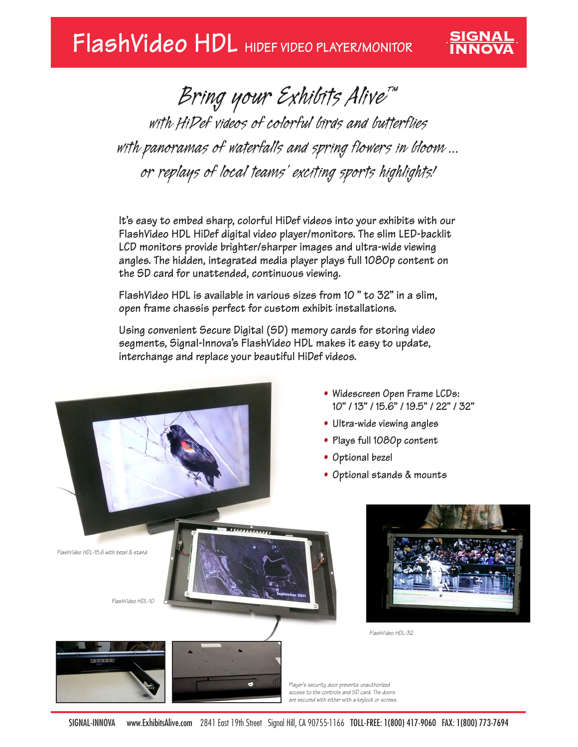## **FlashVideo HDL HIDEF VIDEO PLAYER/MONITOR**

*Bring your Exhibits Alive™ with HiDef videos of colorful birds and butterflies with panoramas of waterfalls and spring flowers in bloom ... or replays of local teams' exciting sports highlights!*

**SIGNAL<br>INNOVA** 

**It's easy to embed sharp, colorful HiDef videos into your exhibits with our FlashVideo HDL HiDef digital video player/monitors. The slim LED-backlit LCD monitors provide brighter/sharper images and ultra-wide viewing angles. The hidden, integrated media player plays full 1080p content on the SD card for unattended, continuous viewing.**

**FlashVideo HDL is available in various sizes from 10 " to 32" in a slim, open frame chassis perfect for custom exhibit installations.**

**Using convenient Secure Digital (SD) memory cards for storing video segments, Signal-Innova's FlashVideo HDL makes it easy to update, interchange and replace your beautiful HiDef videos.**